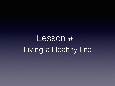Lesson #1 Living a Healthy Life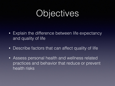## Objectives

- Explain the difference between life expectancy and quality of life
- Describe factors that can affect quality of life
- Assess personal health and wellness related practices and behavior that reduce or prevent health risks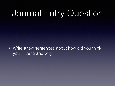# Journal Entry Question

• Write a few sentences about how old you think you'll live to and why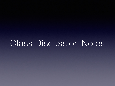Class Discussion Notes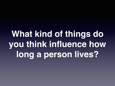# **What kind of things do you think influence how long a person lives?**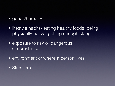- genes/heredity
- lifestyle habits- eating healthy foods, being physically active, getting enough sleep
- exposure to risk or dangerous circumstances
- environment or where a person lives
- Stressors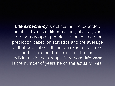**Life expectancy** is defines as the expected number if years of life remaining at any given age for a group of people. It's an estimate or prediction based on statistics and the average for that population. Its not an exact calculation and it does not hold true for all of the individuals in that group. A persons *life span* is the number of years he or she actually lives.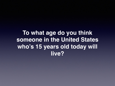**To what age do you think someone in the United States who's 15 years old today will live?**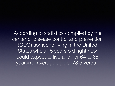According to statistics compiled by the center of disease control and prevention (CDC) someone living in the United States who's 15 years old right now could expect to live another 64 to 65 years(an average age of 78.5 years).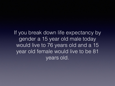If you break down life expectancy by gender a 15 year old male today would live to 76 years old and a 15 year old female would live to be 81 years old.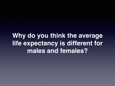**Why do you think the average life expectancy is different for males and females?**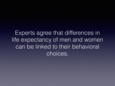Experts agree that differences in life expectancy of men and women can be linked to their behavioral choices.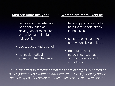### **• Men are more likely to:**

- participate in risk-taking behaviors, such as driving fast or recklessly, or participating in high risk sports
- use tobacco and alcohol
- not seek medical attention when they need it

### **• Women are more likely to:**

- have support systems to help them handle stress in their lives
- seek professional health care when sick or injured
- get routine health screenings, such as annual physicals and other tests

\*\*\*It's important to remember that these are averages. A person of *either gender can extend or lower individual life expectancy based on their types of behavior and health choices he or she makes.\*\*\**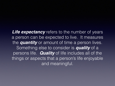**Life expectancy** refers to the number of years a person can be expected to live. It measures the *quantity* or amount of time a person lives. Something else to consider is *quality* of a persons life. *Quality* of life includes all of the things or aspects that a person's life enjoyable and meaningful.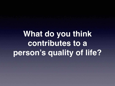**What do you think contributes to a person's quality of life?**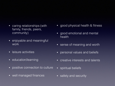#### • caring relationships (with family, friends, peers, community)

- enjoyable and meaningful work
- leisure activities
- education/learning
- positive connection to culture
- well managed finances
- good physical health & fitness
- good emotional and mental health
- sense of meaning and worth
- personal values and beliefs
- creative interests and talents
- spiritual beliefs
- safety and security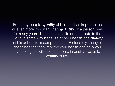For many people, *quality* of life is just as important as or even more important than *quantity.* If a person lives for many years, but cant enjoy life or contribute to the world in some way because of poor health, the *quality* of his or her life is compromised. Fortunately, many of the things that can improve your health and help you live a long life will also contribute in positive ways to *quality* of life.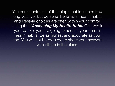You can't control all of the things that influence how long you live, but personal behaviors, health habits and lifestyle choices are often within your control. Using the *"Assessing My Health Habits"* survey in your packet you are going to access your current health habits. Be as honest and accurate as you can. You will not be required to share your answers with others in the class.